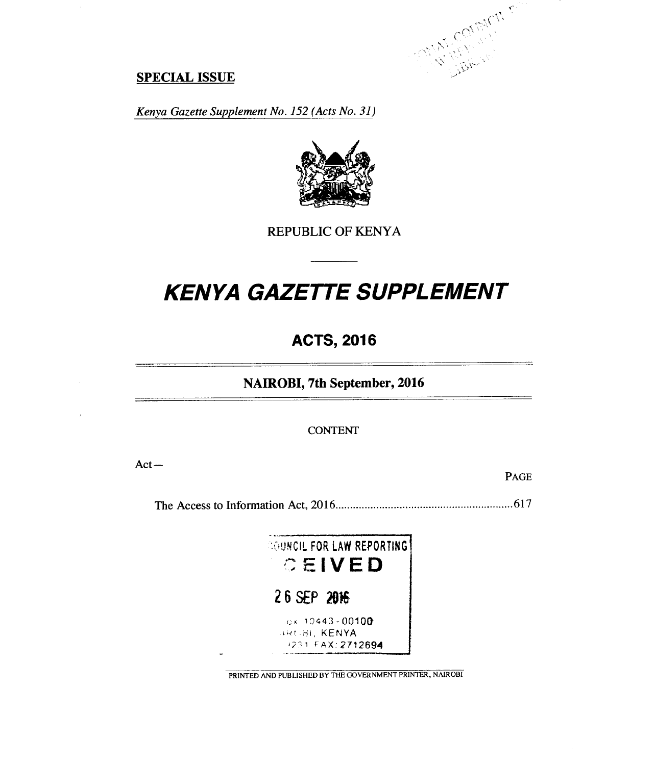

# **SPECIAL ISSUE**

 $\bar{z}$ 

*Kenya Gazette Supplement No. 152 (Acts No. 31)* 



REPUBLIC OF KENYA

# *KENYA GAZETTE SUPPLEMENT*

# **ACTS, 2016**

**NAIROBI, 7th September, 2016** 

CONTENT

Act—

PAGE

The Access to Information Act, 2016 617



PRINTED AND PUBLISHED BY THE GOVERNMENT PRINTER, NAIROBI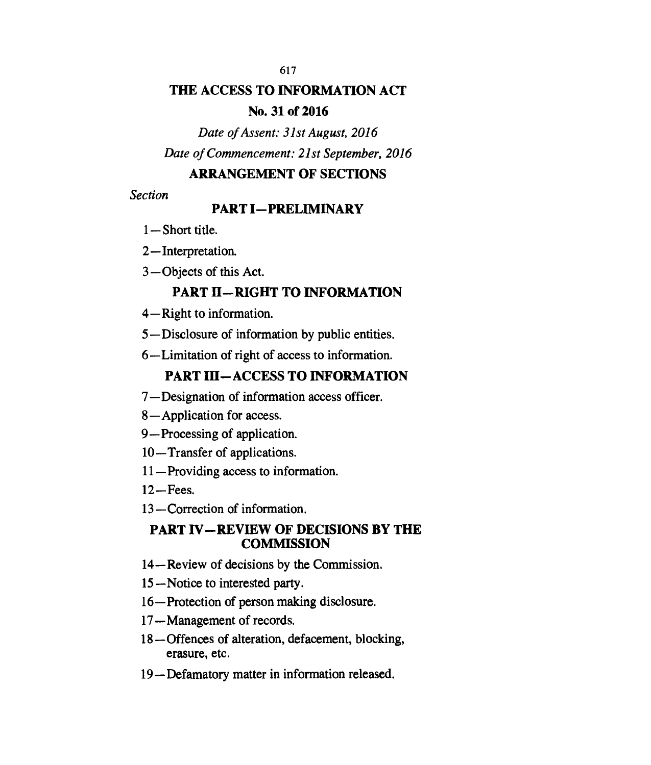# **THE ACCESS TO INFORMATION ACT**

# **No. 31 of 2016**

*Date of Assent: 31st August, 2016 Date of Commencement: 21st September, 2016* 

# **ARRANGEMENT OF SECTIONS**

*Section* 

# **PART I—PRELIMINARY**

- **1—** Short title.
- 2—Interpretation.
- 3—Objects of this Act.

# **PART II—RIGHT TO INFORMATION**

- 4—Right to information.
- 5—Disclosure of information by public entities.
- 6—Limitation of right of access to information.

# **PART III—ACCESS TO INFORMATION**

- 7—Designation of information access officer.
- 8—Application for access.
- 9—Processing of application.
- 10—Transfer of applications.
- 11—Providing access to information.
- 12—Fees.
- 13—Correction of information.

# **PART IV—REVIEW OF DECISIONS BY THE COMMISSION**

- 14—Review of decisions by the Commission.
- 15—Notice to interested party.
- 16—Protection of person making disclosure.
- 17—Management of records.
- 18—Offences of alteration, defacement, blocking, erasure, etc.
- 19—Defamatory matter in information released.

617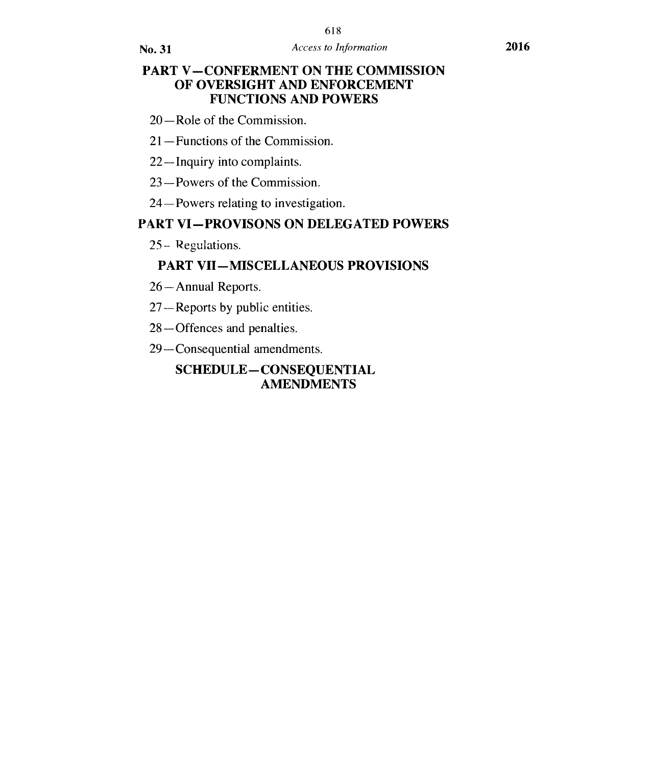# **PART V—CONFERMENT ON THE COMMISSION OF OVERSIGHT AND ENFORCEMENT FUNCTIONS AND POWERS**

- 20—Role of the Commission.
- 21—Functions of the Commission.
- 22—Inquiry into complaints.
- 23—Powers of the Commission.
- 24—Powers relating to investigation.

# **PART VI—PROVISONS ON DELEGATED POWERS**

25— Regulations.

# **PART VII—MISCELLANEOUS PROVISIONS**

- 26—Annual Reports.
- 27—Reports by public entities.
- 28—Offences and penalties.
- 29—Consequential amendments.

# **SCHEDULE— CONSEQUENTIAL AMENDMENTS**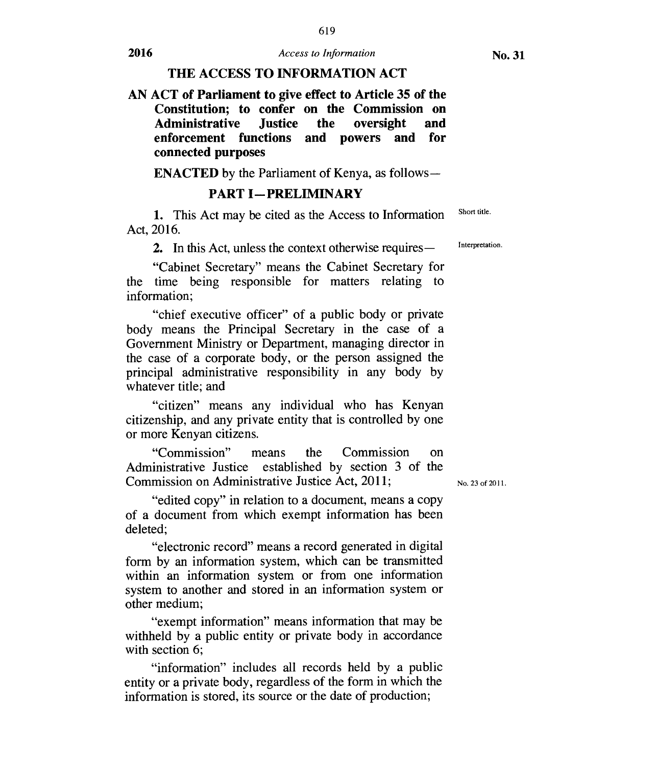619

#### **THE ACCESS TO INFORMATION ACT**

**AN ACT of Parliament to give effect to Article 35 of the Constitution; to confer on the Commission on Administrative Justice the oversight and enforcement functions and powers and for connected purposes** 

**ENACTED** by the Parliament of Kenya, as follows **—** 

## **PART I—PRELIMINARY**

1. This Act may be cited as the Access to Information Act, 2016. Short title.

2. In this Act, unless the context otherwise requires—

"Cabinet Secretary" means the Cabinet Secretary for the time being responsible for matters relating to information;

"chief executive officer" of a public body or private body means the Principal Secretary in the case of a Government Ministry or Department, managing director in the case of a corporate body, or the person assigned the principal administrative responsibility in any body by whatever title; and

"citizen" means any individual who has Kenyan citizenship, and any private entity that is controlled by one or more Kenyan citizens.

"Commission" means the Commission on Administrative Justice established by section 3 of the Commission on Administrative Justice Act, 2011;

"edited copy" in relation to a document, means a copy of a document from which exempt information has been deleted;

"electronic record" means a record generated in digital form by an information system, which can be transmitted within an information system or from one information system to another and stored in an information system or other medium;

"exempt information" means information that may be withheld by a public entity or private body in accordance with section 6;

"information" includes all records held by a public entity or a private body, regardless of the form in which the information is stored, its source or the date of production;

No. 23 of 2011.

Interpretation.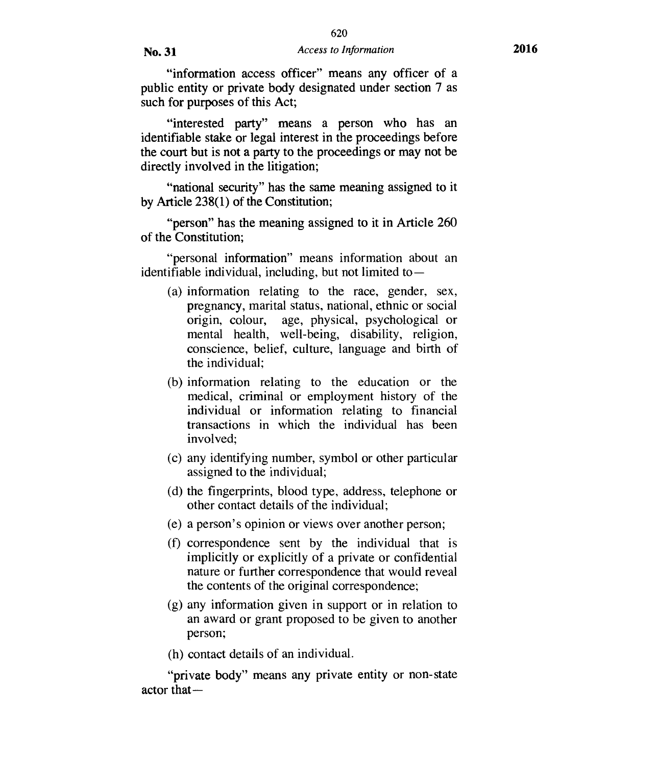"information access officer" means any officer of a public entity or private body designated under section 7 as such for purposes of this Act;

"interested party" means a person who has an identifiable stake or legal interest in the proceedings before the court but is not a party to the proceedings or may not be directly involved in the litigation;

"national security" has the same meaning assigned to it by Article 238(1) of the Constitution;

"person" has the meaning assigned to it in Article 260 of the Constitution;

"personal information" means information about an identifiable individual, including, but not limited to  $-$ 

- (a) information relating to the race, gender, sex, pregnancy, marital status, national, ethnic or social origin, colour, age, physical, psychological or mental health, well-being, disability, religion, conscience, belief, culture, language and birth of the individual;
- (b) information relating to the education or the medical, criminal or employment history of the individual or information relating to financial transactions in which the individual has been involved;
- (c) any identifying number, symbol or other particular assigned to the individual;
- (d) the fingerprints, blood type, address, telephone or other contact details of the individual;
- (e) a person's opinion or views over another person;
- (f) correspondence sent by the individual that is implicitly or explicitly of a private or confidential nature or further correspondence that would reveal the contents of the original correspondence;
- (g) any information given in support or in relation to an award or grant proposed to be given to another person;

(h) contact details of an individual.

"private body" means any private entity or non-state actor that—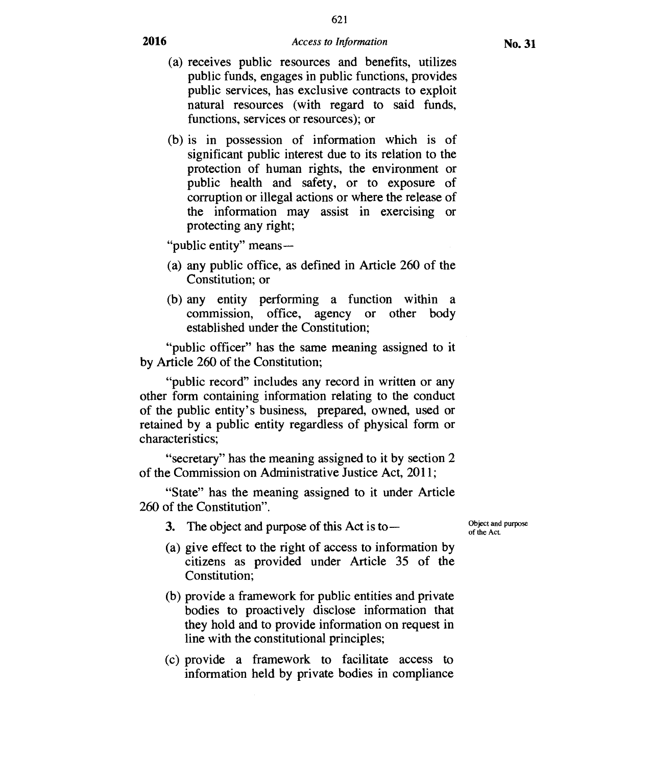621

- (a) receives public resources and benefits, utilizes public funds, engages in public functions, provides public services, has exclusive contracts to exploit natural resources (with regard to said funds, functions, services or resources); or
- (b) is in possession of information which is of significant public interest due to its relation to the protection of human rights, the environment or public health and safety, or to exposure of corruption or illegal actions or where the release of the information may assist in exercising or protecting any right;

"public entity" means—

- (a) any public office, as defined in Article 260 of the Constitution; or
- (b) any entity performing a function within a commission, office, agency or other body established under the Constitution;

"public officer" has the same meaning assigned to it by Article 260 of the Constitution;

"public record" includes any record in written or any other form containing information relating to the conduct of the public entity's business, prepared, owned, used or retained by a public entity regardless of physical form or characteristics;

"secretary" has the meaning assigned to it by section 2 of the Commission on Administrative Justice Act, 2011;

"State" has the meaning assigned to it under Article 260 of the Constitution".

- **3.** The object and purpose of this Act is to—
- (a) give effect to the right of access to information by citizens as provided under Article 35 of the Constitution;
- (b) provide a framework for public entities and private bodies to proactively disclose information that they hold and to provide information on request in line with the constitutional principles;
- (c) provide a framework to facilitate access to information held by private bodies in compliance

Object and purpose of the Act.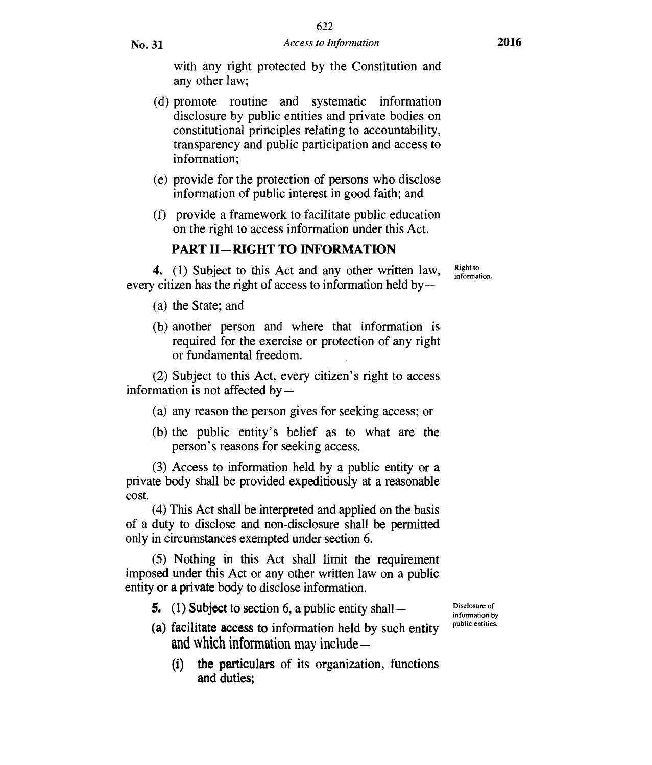with any right protected by the Constitution and any other law;

- (d) promote routine and systematic information disclosure by public entities and private bodies on constitutional principles relating to accountability, transparency and public participation and access to information;
- (e) provide for the protection of persons who disclose information of public interest in good faith; and
- (f) provide a framework to facilitate public education on the right to access information under this Act.

# **PART II —RIGHT TO INFORMATION**

**4.** (1) Subject to this Act and any other written law, every citizen has the right of access to information held by —

Right to information.

- (a) the State; and
- (b) another person and where that information is required for the exercise or protection of any right or fundamental freedom.

(2) Subject to this Act, every citizen's right to access information is not affected by —

- (a) any reason the person gives for seeking access; or
- (b) the public entity's belief as to what are the person's reasons for seeking access.

(3) Access to information held by a public entity or a private body shall be provided expeditiously at a reasonable cost.

(4) This Act shall be interpreted and applied on the basis of a duty to disclose and non-disclosure shall be permitted only in circumstances exempted under section 6.

(5) Nothing in this Act shall limit the requirement imposed **under** this Act or any other written law on a public entity **or a private body** to disclose information.

**5.** (1) **Subject to section** 6, a public entity shall **—** 

- **(a) facilitate access to** information held by such entity and which information may include —
	- (i) the **particulars of** its organization, functions and duties;

Disclosure of information by public entities.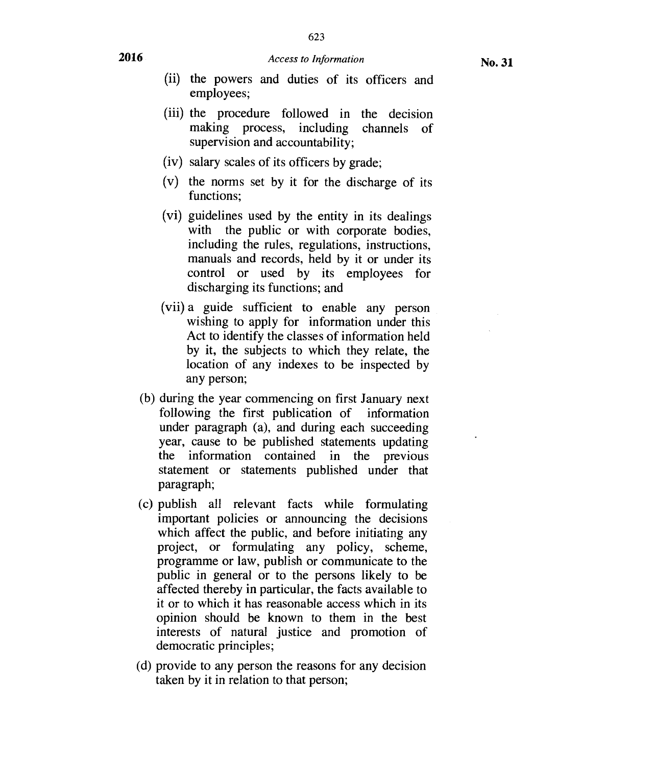- (ii) the powers and duties of its officers and employees;
- (iii) the procedure followed in the decision making process, including channels of supervision and accountability;
- (iv) salary scales of its officers by grade;
- (v) the norms set by it for the discharge of its functions;
- (vi) guidelines used by the entity in its dealings with the public or with corporate bodies, including the rules, regulations, instructions, manuals and records, held by it or under its control or used by its employees for discharging its functions; and
- (vii) a guide sufficient to enable any person wishing to apply for information under this Act to identify the classes of information held by it, the subjects to which they relate, the location of any indexes to be inspected by any person;
- (b) during the year commencing on first January next following the first publication of information under paragraph (a), and during each succeeding year, cause to be published statements updating the information contained in the previous statement or statements published under that paragraph;
- (c) publish all relevant facts while formulating important policies or announcing the decisions which affect the public, and before initiating any project, or formulating any policy, scheme, programme or law, publish or communicate to the public in general or to the persons likely to be affected thereby in particular, the facts available to it or to which it has reasonable access which in its opinion should be known to them in the best interests of natural justice and promotion of democratic principles;
- (d) provide to any person the reasons for any decision taken by it in relation to that person;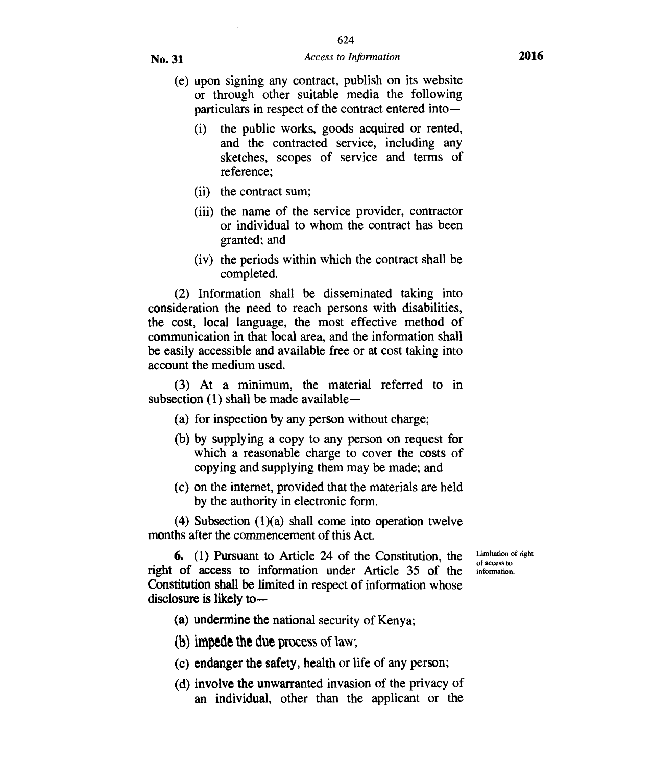- (e) upon signing any contract, publish on its website or through other suitable media the following  $particulars$  in respect of the contract entered into-
	- (i) the public works, goods acquired or rented, and the contracted service, including any sketches, scopes of service and terms of reference;
	- (ii) the contract sum;
	- (iii) the name of the service provider, contractor or individual to whom the contract has been granted; and
	- (iv) the periods within which the contract shall be completed.

(2) Information shall be disseminated taking into consideration the need to reach persons with disabilities, the cost, local language, the most effective method of communication in that local area, and the information shall be easily accessible and available free or at cost taking into account the medium used.

(3) At a minimum, the material referred to in subsection  $(1)$  shall be made available —

- (a) for inspection by any person without charge;
- (b) by supplying a copy to any person on request for which a reasonable charge to cover the costs of copying and supplying them may be made; and
- (c) on the interne, provided that the materials are held by the authority in electronic form.

(4) Subsection (1)(a) shall come into operation twelve months after the commencement of this Act.

> Limitation of right of access to information.

6. (1) Pursuant to Article 24 of the Constitution, the right of access to information under Article 35 of the **Constitution shall be** limited in respect of information whose **disclosure is likely to—** 

**(a) undermine the** national security of Kenya;

- **(b)impede the due** process of law;
- **(c) endanger the safety, health or life of any person;**
- **(d) involve the unwarranted invasion of the privacy of an individual, other than the applicant or the**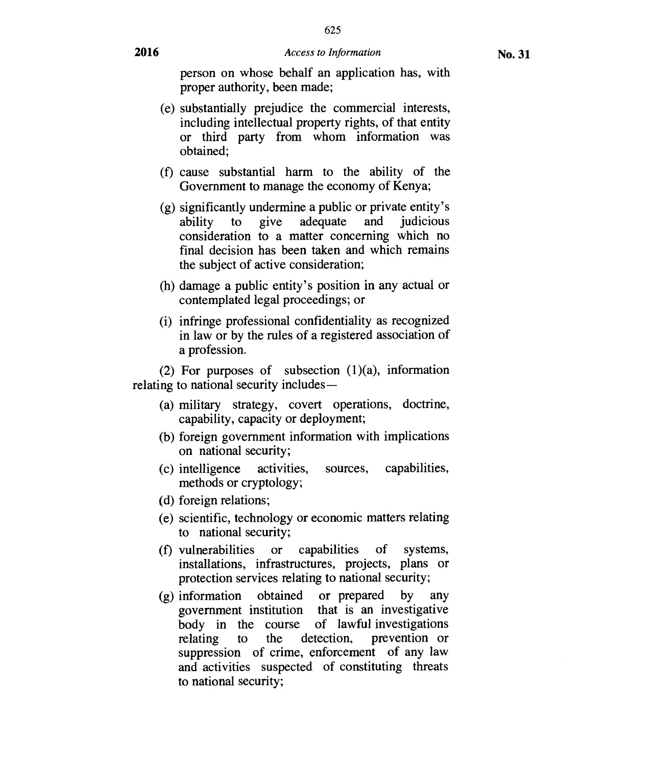625

person on whose behalf an application has, with proper authority, been made;

- (e) substantially prejudice the commercial interests, including intellectual property rights, of that entity or third party from whom information was obtained;
- (f) cause substantial harm to the ability of the Government to manage the economy of Kenya;
- (g) significantly undermine a public or private entity's ability to give adequate and judicious consideration to a matter concerning which no final decision has been taken and which remains the subject of active consideration;
- (h) damage a public entity's position in any actual or contemplated legal proceedings; or
- (i) infringe professional confidentiality as recognized in law or by the rules of a registered association of a profession.

(2) For purposes of subsection  $(1)(a)$ , information relating to national security includes —

- (a) military strategy, covert operations, doctrine, capability, capacity or deployment;
- (b) foreign government information with implications on national security;
- (c) intelligence activities, sources, capabilities, methods or cryptology;
- (d) foreign relations;
- (e) scientific, technology or economic matters relating to national security;
- (f) vulnerabilities or capabilities of systems, installations, infrastructures, projects, plans or protection services relating to national security;
- (g) information obtained or prepared by any government institution that is an investigative body in the course of lawful investigations<br>relating to the detection, prevention or relating to the detection, prevention or suppression of crime, enforcement of any law and activities suspected of constituting threats to national security;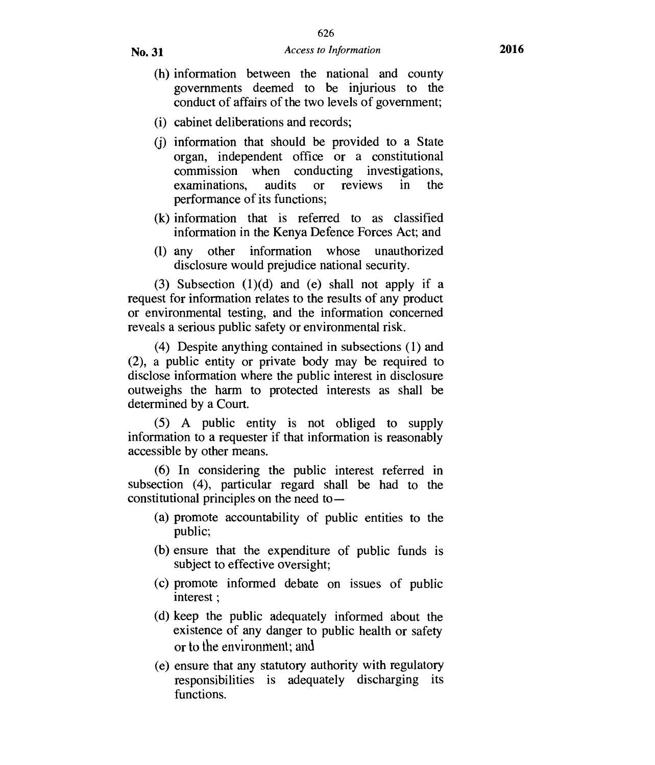- (h) information between the national and county governments deemed to be injurious to the conduct of affairs of the two levels of government;
- (i) cabinet deliberations and records;
- (j) information that should be provided to a State organ, independent office or a constitutional commission when conducting investigations, examinations, audits or reviews in the performance of its functions;
- (k) information that is referred to as classified information in the Kenya Defence Forces Act; and
- (1) any other information whose unauthorized disclosure would prejudice national security.

(3) Subsection (1)(d) and (e) shall not apply if a request for information relates to the results of any product or environmental testing, and the information concerned reveals a serious public safety or environmental risk.

(4) Despite anything contained in subsections (1) and (2), a public entity or private body may be required to disclose information where the public interest in disclosure outweighs the harm to protected interests as shall be determined by a Court.

(5) A public entity is not obliged to supply information to a requester if that information is reasonably accessible by other means.

(6) In considering the public interest referred in subsection (4), particular regard shall be had to the constitutional principles on the need to —

- (a) promote accountability of public entities to the public;
- (b) ensure that the expenditure of public funds is subject to effective oversight;
- (c) promote informed debate on issues of public interest ;
- (d) keep the public adequately informed about the existence of any danger to public health or safety or to the environment; and
- (e) ensure that any statutory authority with regulatory responsibilities is adequately discharging its functions.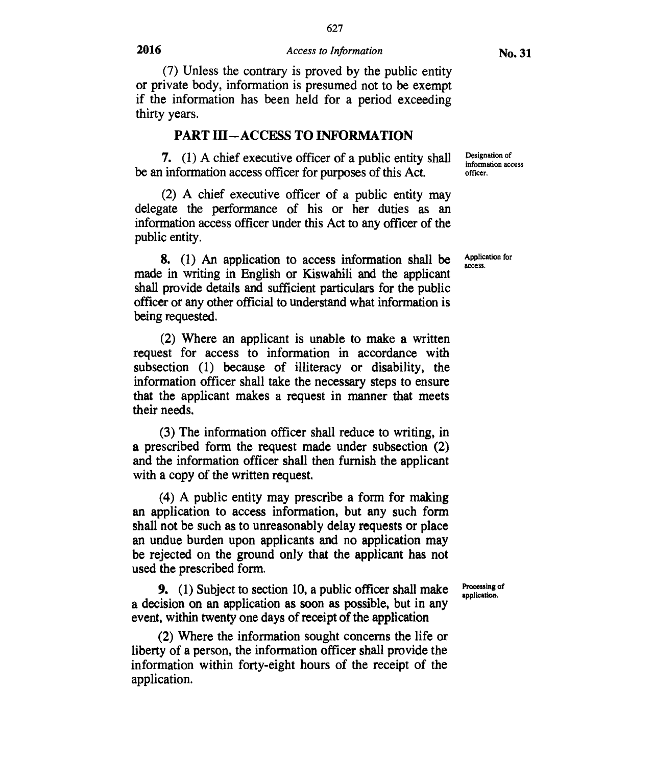627

(7) Unless the contrary is proved by the public entity or private body, information is presumed not to be exempt if the information has been held for a period exceeding thirty years.

## **PART III—ACCESS TO INFORMATION**

**7.** (1) A chief executive officer of a public entity shall be an information access officer for purposes of this Act.

(2) A chief executive officer of a public entity may delegate the performance of his or her duties as an information access officer under this Act to any officer of the public entity.

**8.** (1) An application to access information shall be made in writing in English or Kiswahili and the applicant shall provide details and sufficient particulars for the public officer or any other official to understand what information is being requested.

(2) Where an applicant is unable to make a written request for access to information in accordance with subsection (1) because of illiteracy or disability, the information officer shall take the necessary steps to ensure that the applicant makes a request in manner that meets their needs.

(3) The information officer shall reduce to writing, in a prescribed form the request made under subsection (2) and the information officer shall then furnish the applicant with a copy of the written request.

(4) A public entity may prescribe a form for making an application to access information, **but** any such form shall not be such as to unreasonably delay requests or place an undue burden upon applicants and no application may be rejected on the ground only that the applicant has not used the prescribed form.

**9.** (1) Subject to section 10, a public officer shall make a decision on an application as soon as possible, but in any event, within twenty one days of receipt of the application

(2) Where the information sought concerns the life or liberty of a person, the information officer shall provide the information within forty-eight hours of the receipt of the application.

Designation of information access officer.

Application for access.

Processing of application.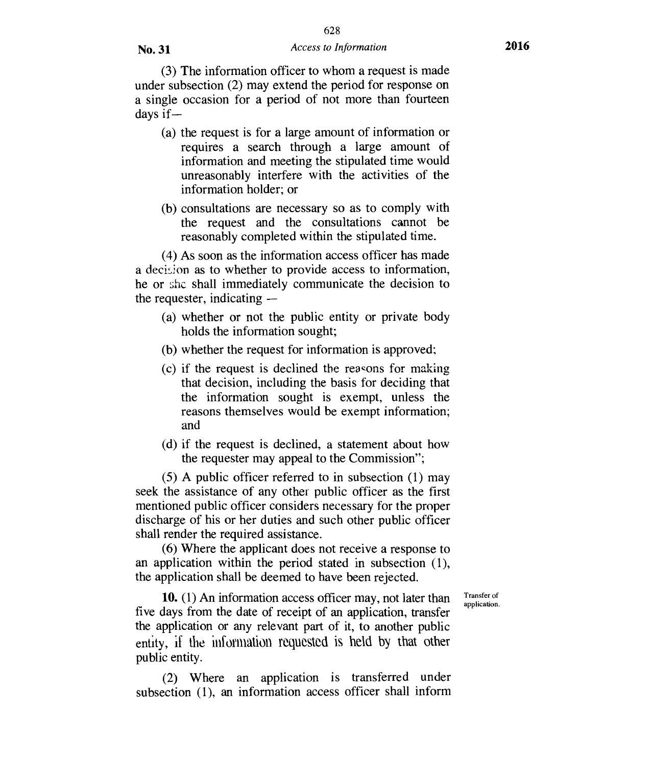(3) The information officer to whom a request is made under subsection (2) may extend the period for response on a single occasion for a period of not more than fourteen days if —

- (a) the request is for a large amount of information or requires a search through a large amount of information and meeting the stipulated time would unreasonably interfere with the activities of the information holder; or
- (b) consultations are necessary so as to comply with the request and the consultations cannot be reasonably completed within the stipulated time.

(4) As soon as the information access officer has made a decision as to whether to provide access to information, he or she shall immediately communicate the decision to the requester, indicating —

- (a) whether or not the public entity or private body holds the information sought;
- (b) whether the request for information is approved:
- (c) if the request is declined the reasons for making that decision, including the basis for deciding that the information sought is exempt, unless the reasons themselves would be exempt information; and
- (d) if the request is declined, a statement about how the requester may appeal to the Commission";

(5) A public officer referred to in subsection (1) may seek the assistance of any other public officer as the first mentioned public officer considers necessary for the proper discharge of his or her duties and such other public officer shall render the required assistance.

(6) Where the applicant does not receive a response to an application within the period stated in subsection (1), the application shall be deemed to have been rejected.

> Transfer of application.

10. (1) An information access officer may, not later than five days from the date of receipt of an application, transfer the application or any relevant part of it, to another public entity, if the information requested is held by that other public entity.

(2) Where an application is transferred under subsection (1), an information access officer shall inform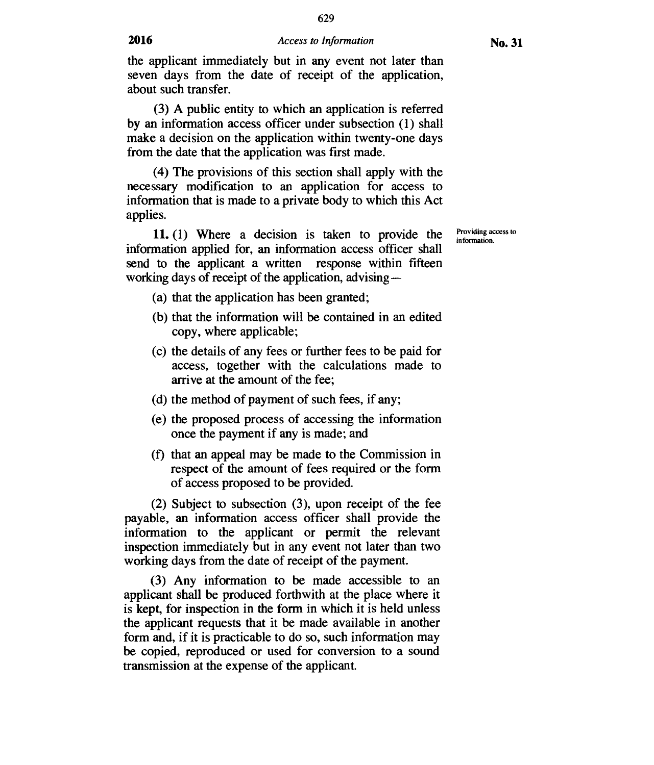629

the applicant immediately but in any event not later than seven days from the date of receipt of the application, about such transfer.

(3) A public entity to which an application is referred by an information access officer under subsection (1) shall make a decision on the application within twenty-one days from the date that the application was first made.

(4) The provisions of this section shall apply with the necessary modification to an application for access to information that is made to a private body to which this Act applies.

11. (1) Where a decision is taken to provide the information applied for, an information access officer shall send to the applicant a written response within fifteen working days of receipt of the application, advising —

- (a) that the application has been granted;
- (b) that the information will be contained in an edited copy, where applicable;
- (c) the details of any fees or further fees to be paid for access, together with the calculations made to arrive at the amount of the fee;
- (d) the method of payment of such fees, if any;
- (e) the proposed process of accessing the information once the payment if any is made; and
- (f) that an appeal may be made to the Commission in respect of the amount of fees required or the form of access proposed to be provided.

(2) Subject to subsection (3), upon receipt of the fee payable, an information access officer shall provide the information to the applicant or permit the relevant inspection immediately but in any event not later than two working days from the date of receipt of the payment.

(3) Any information to be made accessible to an applicant shall be produced forthwith at the place where it is kept, for inspection in the form in which it is held unless the applicant requests that it be made available in another form and, if it is practicable to do so, such information may be copied, reproduced or used for conversion to a sound transmission at the expense of the applicant.

Providing access to information.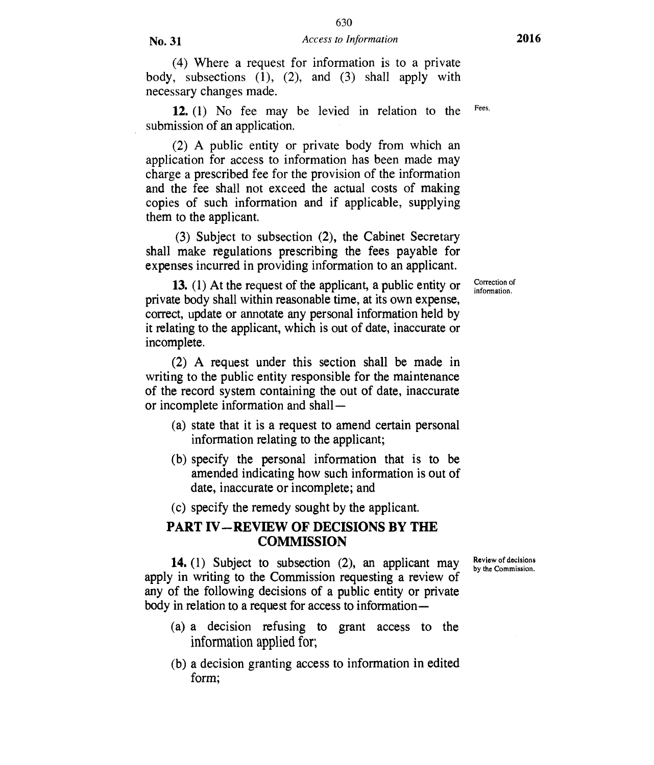630

(4) Where a request for information is to a private body, subsections (1), (2), and (3) shall apply with necessary changes made.

**12.** (1) No fee may be levied in relation to the submission of an application.

(2) A public entity or private body from which an application for access to information has been made may charge a prescribed fee for the provision of the information and the fee shall not exceed the actual costs of making copies of such information and if applicable, supplying them to the applicant.

(3) Subject to subsection (2), the Cabinet Secretary shall make regulations prescribing the fees payable for expenses incurred in providing information to an applicant.

**13.** (1) At the request of the applicant, a public entity or private body shall within reasonable time, at its own expense, correct, update or annotate any personal information held by it relating to the applicant, which is out of date, inaccurate or incomplete.

(2) A request under this section shall be made in writing to the public entity responsible for the maintenance of the record system containing the out of date, inaccurate or incomplete information and shall —

- (a) state that it is a request to amend certain personal information relating to the applicant;
- (b) specify the personal information that is to be amended indicating how such information is out of date, inaccurate or incomplete; and
- (c) specify the remedy sought by the applicant.

## **PART IV—REVIEW OF DECISIONS BY THE COMMISSION**

**14.** (1) Subject to subsection (2), an applicant may apply in writing to the Commission requesting a review of any of the following decisions of a public entity or private body in relation to a request for access to information—

- (a) a decision refusing to grant access to the information applied for;
- (b) a decision granting access to information in edited form;

Review of decisions by the Commission.

Correction of information.

Fees.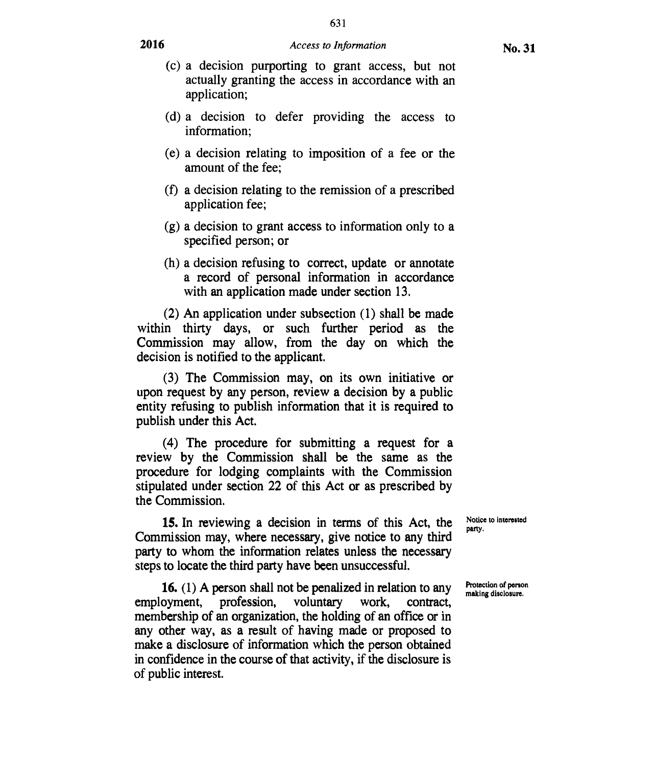631

- (c) a decision purporting to grant access, but not actually granting the access in accordance with an application;
- (d) a decision to defer providing the access to information;
- (e) a decision relating to imposition of a fee or the amount of the fee;
- (f) a decision relating to the remission of a prescribed application fee;
- (g) a decision to grant access to information only to a specified person; or
- (h) a decision refusing to correct, update or annotate a record of personal information in accordance with an application made under section 13.

(2) An application under subsection (1) shall be made within thirty days, or such further period as the Commission may allow, from the day on which the decision is notified to the applicant.

(3) The Commission may, on its own initiative or upon request by any person, review a decision by a public entity refusing to publish information that it is required to publish under this Act.

(4) The procedure for submitting a request for a review by the Commission shall be the same as the procedure for lodging complaints with the Commission stipulated under section 22 of this Act or as prescribed by the Commission.

15.In reviewing a decision in terms of this Act, the Commission may, where necessary, give notice to any third party to whom the information relates unless the necessary steps to locate the third party have been unsuccessful.

16.(1) A person shall not be penalized in relation to any employment, profession, voluntary work, contract, membership of an organization, the holding of an office or in any other way, as a result of having made or proposed to make a disclosure of information which the person obtained in confidence in the course of that activity, if the disclosure is of public interest.

Notice to interested party.

Protection of person making disclosure,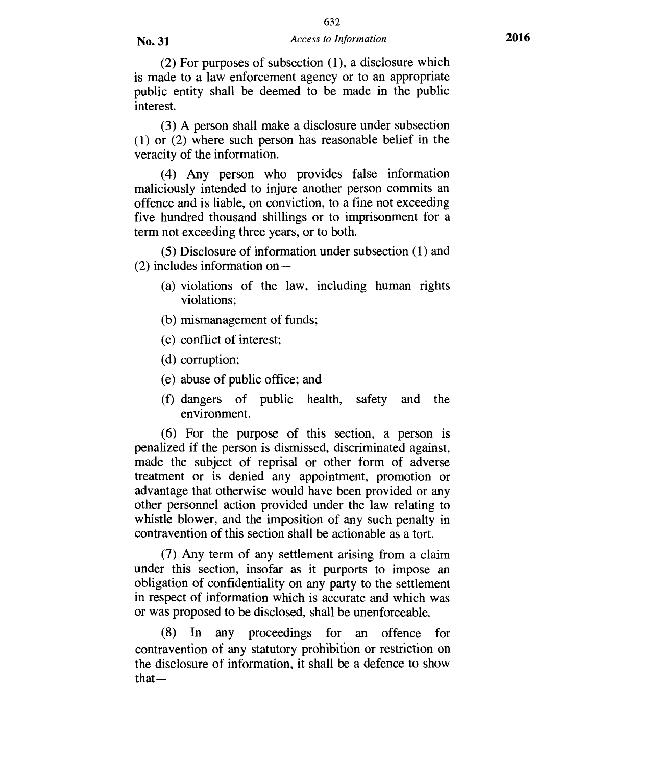632

(2) For purposes of subsection (1), a disclosure which is made to a law enforcement agency or to an appropriate public entity shall be deemed to be made in the public interest.

(3) A person shall make a disclosure under subsection (1) or (2) where such person has reasonable belief in the veracity of the information.

(4) Any person who provides false information maliciously intended to injure another person commits an offence and is liable, on conviction, to a fine not exceeding five hundred thousand shillings or to imprisonment for a term not exceeding three years, or to both.

(5) Disclosure of information under subsection (1) and (2) includes information on —

- (a) violations of the law, including human rights violations;
- (b) mismanagement of funds;
- (c) conflict of interest;
- (d) corruption;
- (e) abuse of public office; and
- (f) dangers of public health, safety and the environment.

(6) For the purpose of this section, a person is penalized if the person is dismissed, discriminated against, made the subject of reprisal or other form of adverse treatment or is denied any appointment, promotion or advantage that otherwise would have been provided or any other personnel action provided under the law relating to whistle blower, and the imposition of any such penalty in contravention of this section shall be actionable as a tort.

(7) Any term of any settlement arising from a claim under this section, insofar as it purports to impose an obligation of confidentiality on any party to the settlement in respect of information which is accurate and which was or was proposed to be disclosed, shall be unenforceable.

(8) In any proceedings for an offence for contravention of any statutory prohibition or restriction on the disclosure of information, it shall be a defence to show  $that -$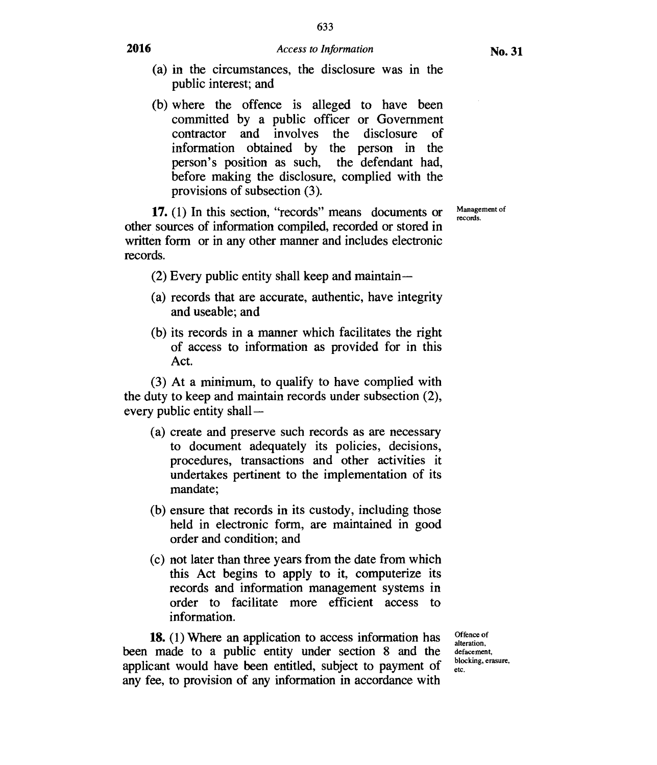633

(b) where the offence is alleged to have been committed by a public officer or Government contractor and involves the disclosure of information obtained by the person in the person's position as such, the defendant had, before making the disclosure, complied with the provisions of subsection (3).

**17.** (1) In this section, "records" means documents or other sources of information compiled, recorded or stored in written form or in any other manner and includes electronic records.

- (2) Every public entity shall keep and maintain—
- (a) records that are accurate, authentic, have integrity and useable; and
- (b) its records in a manner which facilitates the right of access to information as provided for in this Act.

(3) At a minimum, to qualify to have complied with the duty to keep and maintain records under subsection (2), every public entity shall —

- (a) create and preserve such records as are necessary to document adequately its policies, decisions, procedures, transactions and other activities it undertakes pertinent to the implementation of its mandate;
- (b) ensure that records in its custody, including those held in electronic form, are maintained in good order and condition; and
- (c) not later than three years from the date from which this Act begins to apply to it, computerize its records and information management systems in order to facilitate more efficient access to information.

**18.** (1) Where an application to access information has been made to a public entity under section 8 and the applicant would have been entitled, subject to payment of any fee, to provision of any information in accordance with

Offence of alteration, defacement, blocking, erasure, etc.

Management of records.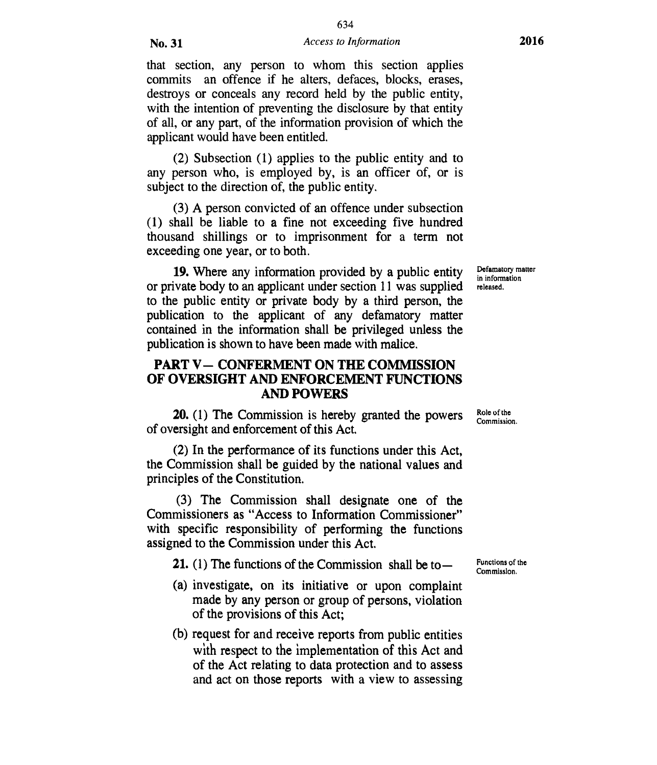that section, any person to whom this section applies commits an offence if he alters, defaces, blocks, erases, destroys or conceals any record held by the public entity, with the intention of preventing the disclosure by that entity of all, or any part, of the information provision of which the applicant would have been entitled.

(2) Subsection (1) applies to the public entity and to any person who, is employed by, is an officer of, or is subject to the direction of, the public entity.

(3) A person convicted of an offence under subsection (1) shall be liable to a fine not exceeding five hundred thousand shillings or to imprisonment for a term not exceeding one year, or to both.

**19.** Where any information provided by a public entity or private body to an applicant under section 11 was supplied to the public entity or private body by a third person, the publication to the applicant of any defamatory matter contained in the information shall be privileged unless the publication is shown to have been made with malice.

## **PART V— CONFERMENT ON THE COMMISSION OF OVERSIGHT AND ENFORCEMENT FUNCTIONS AND POWERS**

**20.** (1) The Commission is hereby granted the powers of oversight and enforcement of this Act.

(2) In the performance of its functions under this Act, the Commission shall be guided by the national values and principles of the Constitution.

(3) The Commission shall designate one of the Commissioners as "Access to Information Commissioner" with specific responsibility of performing the functions assigned to the Commission under this Act.

**21.** (1) The functions of the Commission shall be to—

- (a) investigate, on its initiative or upon complaint made by any person or group of persons, violation of the provisions of this Act;
- (b) request for and receive reports from public entities with respect to the implementation of this Act and of the Act relating to data protection and to assess and act on those reports with a view to assessing

Defamatory matter in information released.

Role of the Commission.

Functions of the Commission.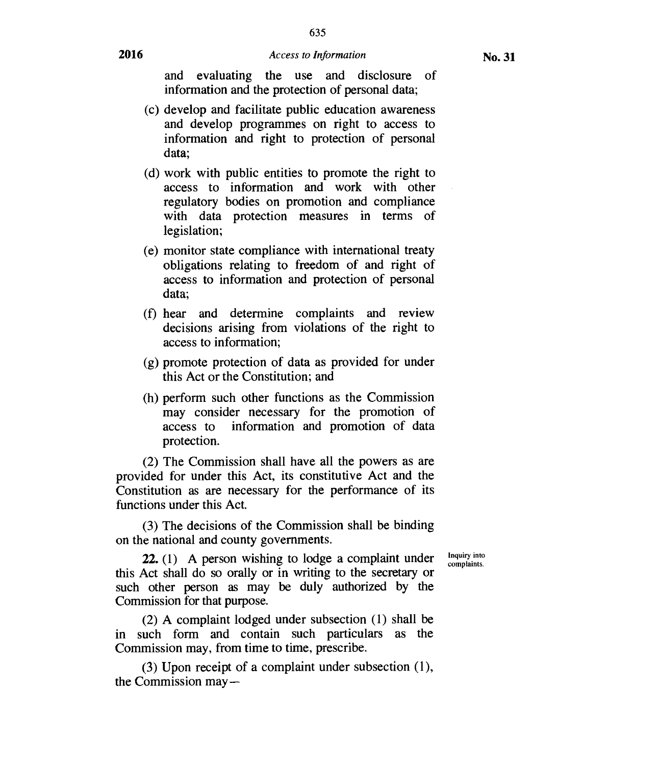635

and evaluating the use and disclosure of information and the protection of personal data;

- (c) develop and facilitate public education awareness and develop programmes on right to access to information and right to protection of personal data;
- (d) work with public entities to promote the right to access to information and work with other regulatory bodies on promotion and compliance with data protection measures in terms of legislation;
- (e) monitor state compliance with international treaty obligations relating to freedom of and right of access to information and protection of personal data;
- (f) hear and determine complaints and review decisions arising from violations of the right to access to information;
- (g) promote protection of data as provided for under this Act or the Constitution; and
- (h) perform such other functions as the Commission may consider necessary for the promotion of access to information and promotion of data information and promotion of data protection.

(2) The Commission shall have all the powers as are provided for under this Act, its constitutive Act and the Constitution as are necessary for the performance of its functions under this Act.

(3) The decisions of the Commission shall be binding on the national and county governments.

> Inquiry into complaints.

**22.** (1) A person wishing to lodge a complaint under this Act shall do so orally or in writing to the secretary or such other person as may be duly authorized by the Commission for that purpose.

(2) A complaint lodged under subsection (1) shall be in such form and contain such particulars as the Commission may, from time to time, prescribe.

(3) Upon receipt of a complaint under subsection (1), the Commission may—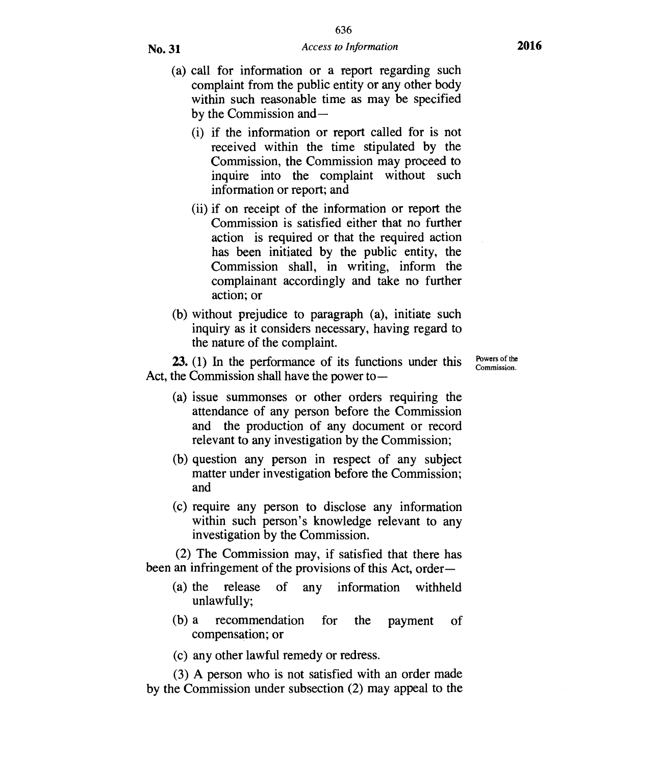- (a) call for information or a report regarding such complaint from the public entity or any other body within such reasonable time as may be specified by the Commission and —
	- (i) if the information or report called for is not received within the time stipulated by the Commission, the Commission may proceed to inquire into the complaint without such information or report; and
	- (ii) if on receipt of the information or report the Commission is satisfied either that no further action is required or that the required action has been initiated by the public entity, the Commission shall, in writing, inform the complainant accordingly and take no further action; or
- (b) without prejudice to paragraph (a), initiate such inquiry as it considers necessary, having regard to the nature of the complaint.

**23.** (1) In the performance of its functions under this Act, the Commission shall have the power toPowers of the Commission.

- (a) issue summonses or other orders requiring the attendance of any person before the Commission and the production of any document or record relevant to any investigation by the Commission;
- (b) question any person in respect of any subject matter under investigation before the Commission; and
- (c) require any person to disclose any information within such person's knowledge relevant to any investigation by the Commission.

(2) The Commission may, if satisfied that there has been an infringement of the provisions of this Act, order —

- (a) the release of any information withheld unlawfully;
- (b) a recommendation for the payment of compensation; or
- (c) any other lawful remedy or redress.

(3) A person who is not satisfied with an order made by the Commission under subsection (2) may appeal to the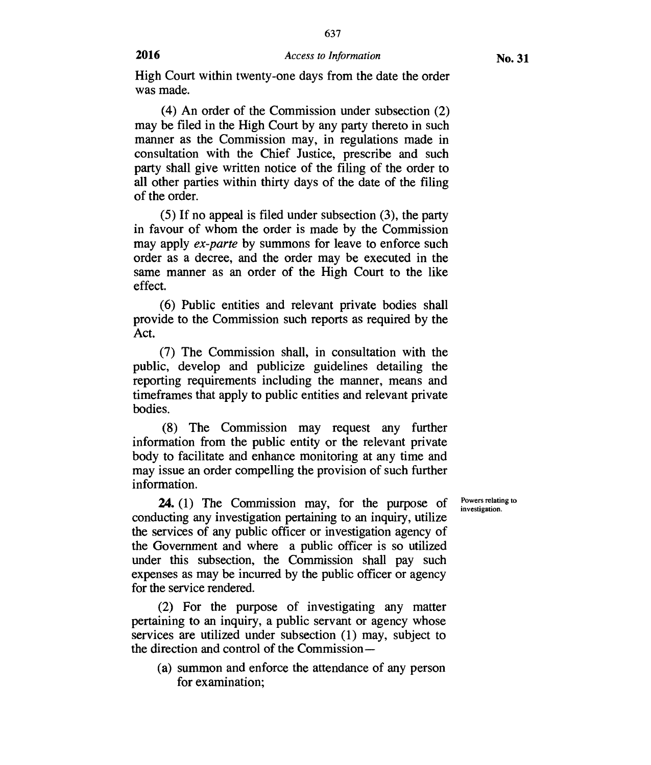637

(4) An order of the Commission under subsection (2) may be filed in the High Court by any party thereto in such manner as the Commission may, in regulations made in consultation with the Chief Justice, prescribe and such party shall give written notice of the filing of the order to all other parties within thirty days of the date of the filing of the order.

(5) If no appeal is filed under subsection (3), the party in favour of whom the order is made by the Commission may apply *ex-parte* by summons for leave to enforce such order as a decree, and the order may be executed in the same manner as an order of the High Court to the like effect.

(6) Public entities and relevant private bodies shall provide to the Commission such reports as required by the Act.

(7) The Commission shall, in consultation with the public, develop and publicize guidelines detailing the reporting requirements including the manner, means and timeframes that apply to public entities and relevant private bodies.

(8) The Commission may request any further information from the public entity or the relevant private body to facilitate and enhance monitoring at any time and may issue an order compelling the provision of such further information.

**24.** (1) The Commission may, for the purpose of conducting any investigation pertaining to an inquiry, utilize the services of any public officer or investigation agency of the Government and where a public officer is so utilized under this subsection, the Commission shall pay such expenses as may be incurred by the public officer or agency for the service rendered.

(2) For the purpose of investigating any matter pertaining to an inquiry, a public servant or agency whose services are utilized under subsection (1) may, subject to the direction and control of the Commission—

(a) summon and enforce the attendance of any person for examination;

Powers relating to investigation.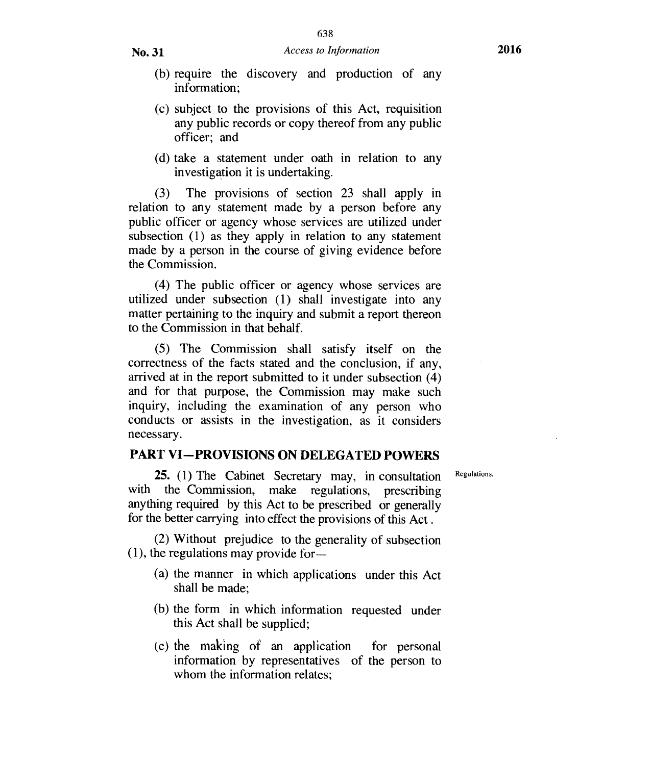- (b) require the discovery and production of any information;
- (c) subject to the provisions of this Act, requisition any public records or copy thereof from any public officer; and
- (d) take a statement under oath in relation to any investigation it is undertaking.

(3) The provisions of section 23 shall apply in relation to any statement made by a person before any public officer or agency whose services are utilized under subsection (1) as they apply in relation to any statement made by a person in the course of giving evidence before the Commission.

(4) The public officer or agency whose services are utilized under subsection (1) shall investigate into any matter pertaining to the inquiry and submit a report thereon to the Commission in that behalf.

(5) The Commission shall satisfy itself on the correctness of the facts stated and the conclusion, if any, arrived at in the report submitted to it under subsection (4) and for that purpose, the Commission may make such inquiry, including the examination of any person who conducts or assists in the investigation, as it considers necessary.

## **PART VI—PROVISIONS ON DELEGATED POWERS**

Regulations.

**25.** (1) The Cabinet Secretary may, in consultation with the Commission, make regulations, prescribing anything required by this Act to be prescribed or generally for the better carrying into effect the provisions of this Act .

(2) Without prejudice to the generality of subsection (1), the regulations may provide for —

- (a) the manner in which applications under this Act shall be made;
- (b) the form in which information requested under this Act shall be supplied;
- (c) the making of an application for personal information by representatives of the person to whom the information relates;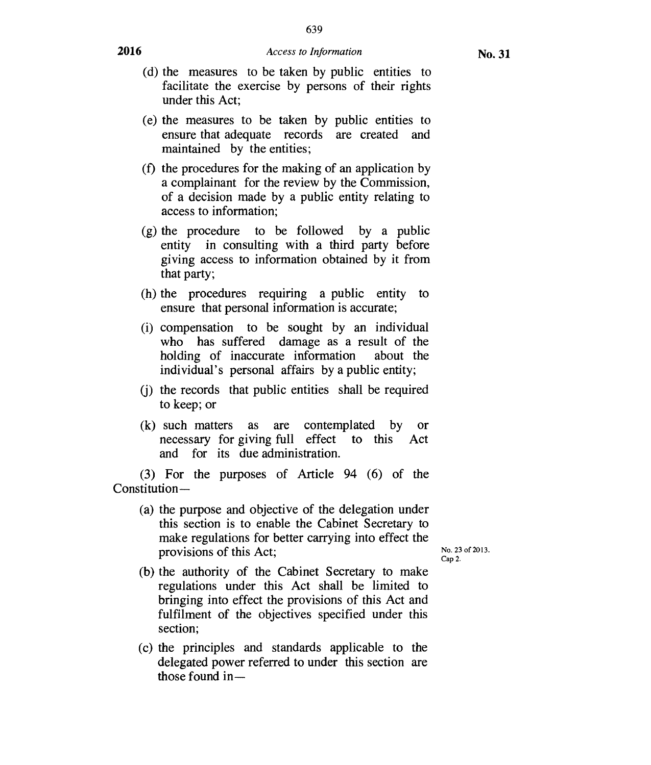639

- (d) the measures to be taken by public entities to facilitate the exercise by persons of their rights under this Act;
- (e) the measures to be taken by public entities to ensure that adequate records are created and maintained by the entities;
- (f) the procedures for the making of an application by a complainant for the review by the Commission, of a decision made by a public entity relating to access to information;
- (g) the procedure to be followed by a public entity in consulting with a third party before giving access to information obtained by it from that party;
- (h) the procedures requiring a public entity to ensure that personal information is accurate;
- (i) compensation to be sought by an individual who has suffered damage as a result of the holding of inaccurate information about the individual's personal affairs by a public entity;
- (j) the records that public entities shall be required to keep; or
- (k) such matters as are contemplated by or necessary for giving full effect to this Act and for its due administration.

(3) For the purposes of Article 94 (6) of the Constitution —

(a) the purpose and objective of the delegation under this section is to enable the Cabinet Secretary to make regulations for better carrying into effect the provisions of this Act;

No. 23 of 2013. Cap 2.

- (b) the authority of the Cabinet Secretary to make regulations under this Act shall be limited to bringing into effect the provisions of this Act and fulfilment of the objectives specified under this section;
- (c) the principles and standards applicable to the delegated power referred to under this section are those found in—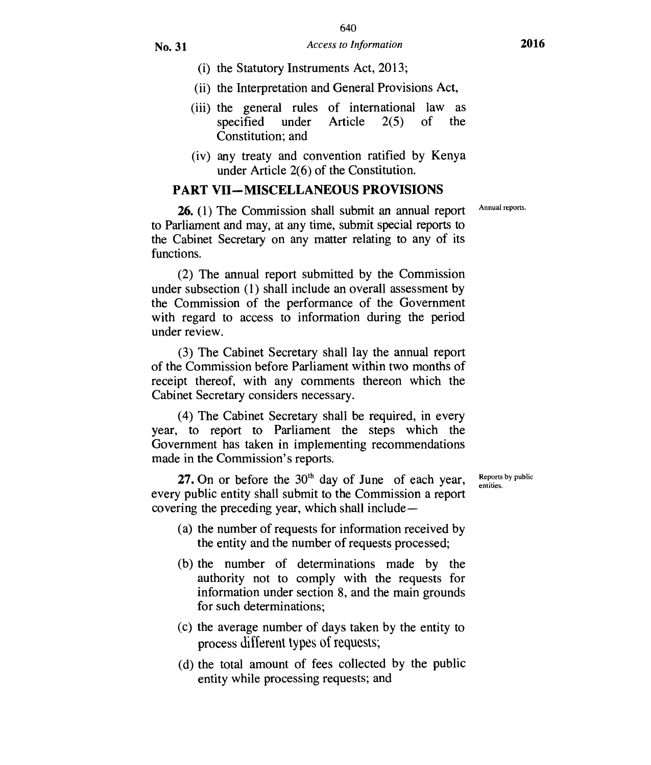- (i) the Statutory Instruments Act, 2013;
- (ii) the Interpretation and General Provisions Act,
- (iii) the general rules of international law as specified under Article 2(5) of the Constitution; and
- (iv) any treaty and convention ratified by Kenya under Article 2(6) of the Constitution.

#### **PART VII —MISCELLANEOUS PROVISIONS**

**26.** (1) The Commission shall submit an annual report to Parliament and may, at any time, submit special reports to the Cabinet Secretary on any matter relating to any of its functions.

(2) The annual report submitted by the Commission under subsection (1) shall include an overall assessment by the Commission of the performance of the Government with regard to access to information during the period under review.

(3) The Cabinet Secretary shall lay the annual report of the Commission before Parliament within two months of receipt thereof, with any comments thereon which the Cabinet Secretary considers necessary.

(4) The Cabinet Secretary shall be required, in every year, to report to Parliament the steps which the Government has taken in implementing recommendations made in the Commission's reports.

**27.** On or before the  $30<sup>th</sup>$  day of June of each year, every public entity shall submit to the Commission a report covering the preceding year, which shall include —

- (a) the number of requests for information received by the entity and the number of requests processed;
- (b) the number of determinations made by the authority not to comply with the requests for information under section 8, and the main grounds for such determinations;
- (c) the average number of days taken by the entity to process different types of requests;
- (d) the total amount of fees collected by the public entity while processing requests; and

Reports by public entities.

Annual reports.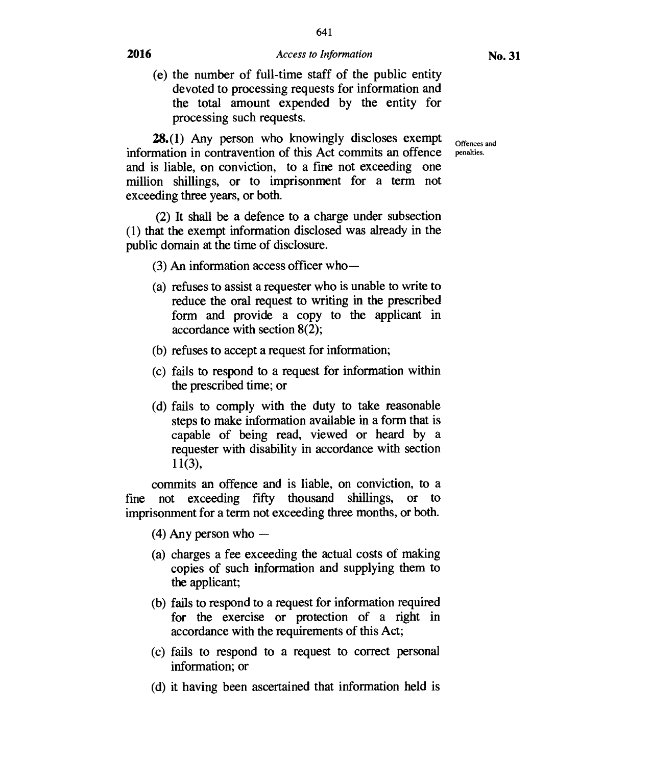# 641 **2016** *Access to Information* **No. 31**

(e) the number of full-time staff of the public entity devoted to processing requests for information and the total amount expended by the entity for processing such requests.

**28.**(1) Any person who knowingly discloses exempt of offences and information in contravention of this Act commits an offence penalties. and is liable, on conviction, to a fine not exceeding one million shillings, or to imprisonment for a term not exceeding three years, or both.

(2) It shall be a defence to a charge under subsection (1) that the exempt information disclosed was already in the public domain at the time of disclosure.

- (3) An information access officer who —
- (a) refuses to assist a requester who is unable to write to reduce the oral request to writing in the prescribed form and provide a copy to the applicant in accordance with section 8(2);
- (b) refuses to accept a request for information;
- (c) fails to respond to a request for information within the prescribed time; or
- (d) fails to comply with the duty to take reasonable steps to make information available in a form that is capable of being read, viewed or heard by a requester with disability in accordance with section  $11(3),$

commits an offence and is liable, on conviction, to a fine not exceeding fifty thousand shillings, or to imprisonment for a term not exceeding three months, or both.

- (4) Any person who —
- (a) charges a fee exceeding the actual costs of making copies of such information and supplying them to the applicant;
- (b) fails to respond to a request for information required for the exercise or protection of a right in accordance with the requirements of this Act;
- (c) fails to respond to a request to correct personal information; or
- (d) it having been ascertained that information held is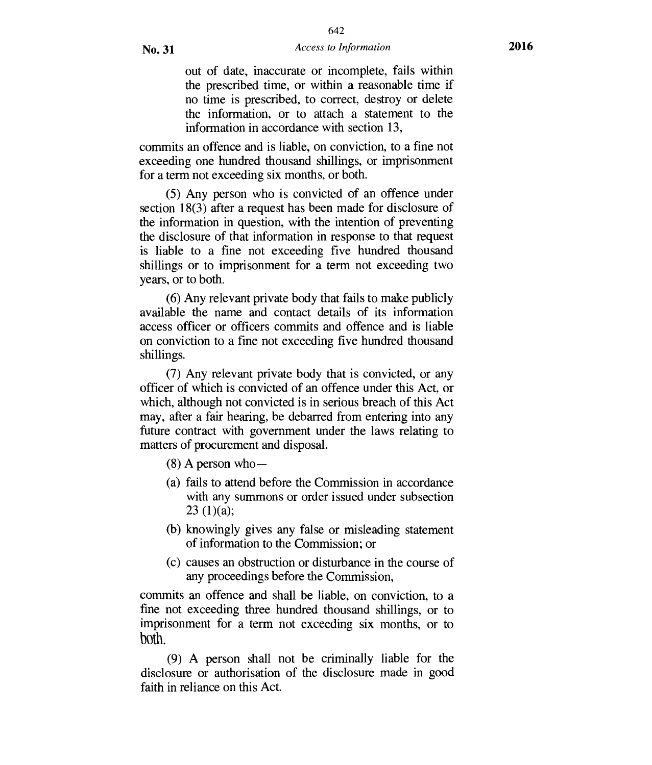out of date, inaccurate or incomplete, fails within the prescribed time, or within a reasonable time if no time is prescribed, to correct, destroy or delete the information, or to attach a statement to the information in accordance with section 13,

commits an offence and is liable, on conviction, to a fine not exceeding one hundred thousand shillings, or imprisonment for a term not exceeding six months, or both.

(5) Any person who is convicted of an offence under section 18(3) after a request has been made for disclosure of the information in question, with the intention of preventing the disclosure of that information in response to that request is liable to a fine not exceeding five hundred thousand shillings or to imprisonment for a term not exceeding two years, or to both.

(6) Any relevant private body that fails to make publicly available the name and contact details of its information access officer or officers commits and offence and is liable on conviction to a fine not exceeding five hundred thousand shillings.

(7) Any relevant private body that is convicted, or any officer of which is convicted of an offence under this Act, or which, although not convicted is in serious breach of this Act may, after a fair hearing, be debarred from entering into any future contract with government under the laws relating to matters of procurement and disposal.

- $(8)$  A person who-
- (a) fails to attend before the Commission in accordance with any summons or order issued under subsection  $23(1)(a);$
- (b) knowingly gives any false or misleading statement of information to the Commission; or
- (c) causes an obstruction or disturbance in the course of any proceedings before the Commission,

commits an offence and shall be liable, on conviction, to a fine not exceeding three hundred thousand shillings, or to imprisonment for a term not exceeding six months, or to both.

(9) A person shall not be criminally liable for the disclosure or authorisation of the disclosure made in good faith in reliance on this Act.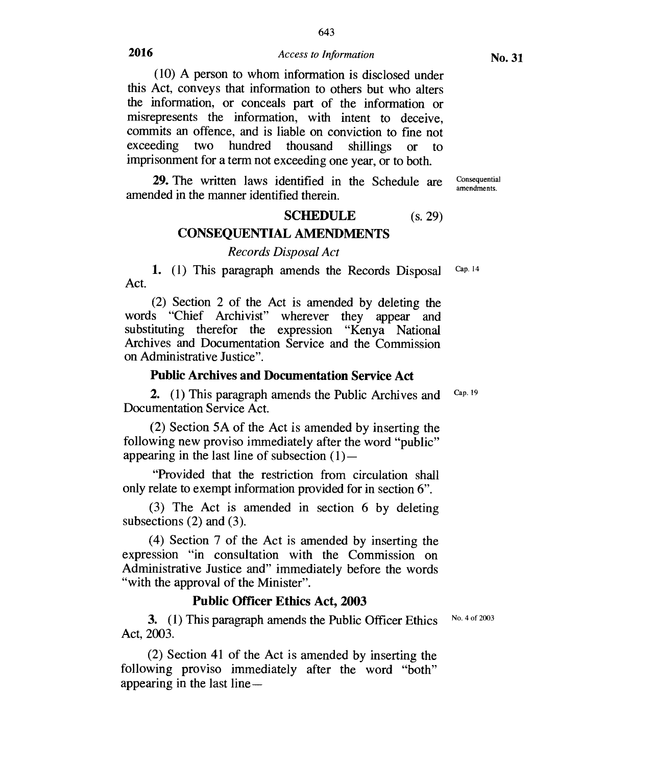643

(10) A person to whom information is disclosed under this Act, conveys that information to others but who alters the information, or conceals part of the information or misrepresents the information, with intent to deceive, commits an offence, and is liable on conviction to fine not exceeding two hundred thousand shillings or to imprisonment for a term not exceeding one year, or to both.

**29.** The written laws identified in the Schedule are Consequential amended in the manner identified therein.

# **SCHEDULE** (s. 29) **CONSEQUENTIAL AMENDMENTS**

# *Records Disposal Act*

**1.** (1) This paragraph amends the Records Disposal Cap. 14 Act.

(2) Section 2 of the Act is amended by deleting the words "Chief Archivist" wherever they appear and substituting therefor the expression "Kenya National Archives and Documentation Service and the Commission on Administrative Justice".

#### **Public Archives and Documentation Service Act**

**2.** (1) This paragraph amends the Public Archives and Documentation Service Act. Cap. 19

(2) Section 5A of the Act is amended by inserting the following new proviso immediately after the word "public" appearing in the last line of subsection  $(1)$ —

"Provided that the restriction from circulation shall only relate to exempt information provided for in section 6".

(3) The Act is amended in section 6 by deleting subsections (2) and (3).

(4) Section 7 of the Act is amended by inserting the expression "in consultation with the Commission on Administrative Justice and" immediately before the words "with the approval of the Minister".

## **Public Officer Ethics Act, 2003**

**3.** (1) This paragraph amends the Public Officer Ethics Act, 2003.

No. 4 of 2003

(2) Section 41 of the Act is amended by inserting the following proviso immediately after the word "both" appearing in the last line —